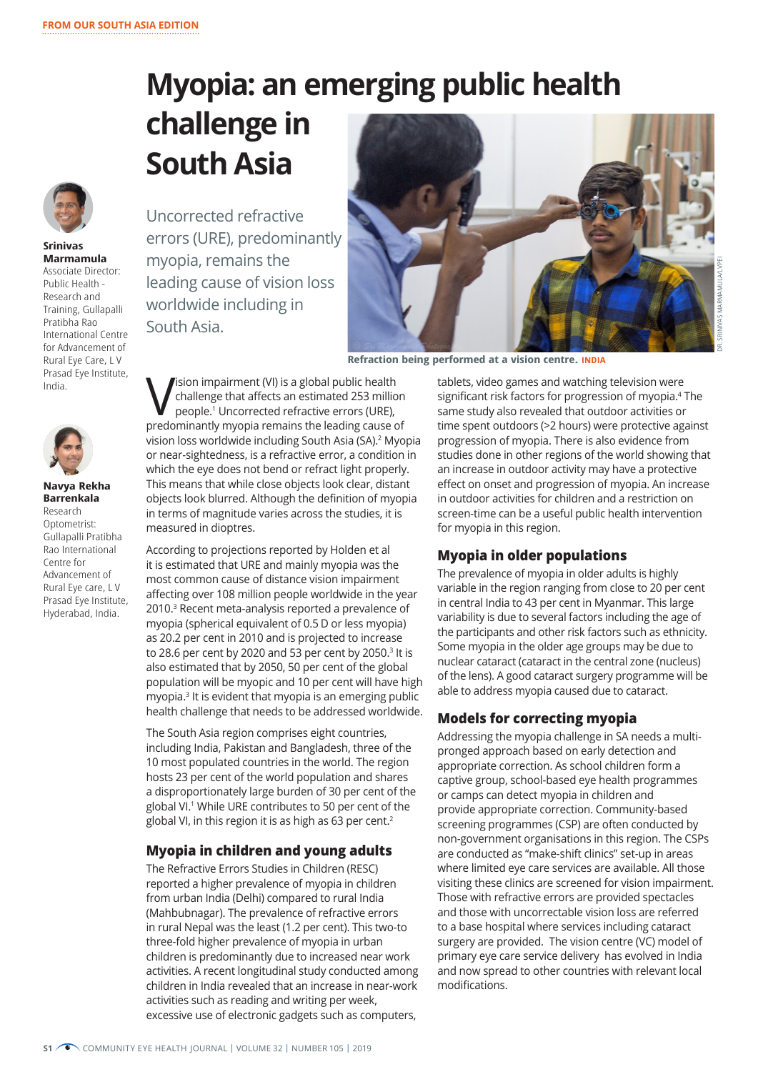# **Myopia: an emerging public health challenge in South Asia**



**Srinivas Marmamula** Associate Director: Public Health - Research and Training, Gullapalli Pratibha Rao International Centre for Advancement of Rural Eye Care, L V Prasad Eye Institute, India.



**Navya Rekha Barrenkala** Research Optometrist: Gullapalli Pratibha Rao International Centre for Advancement of Rural Eye care, L V Prasad Eye Institute, Hyderabad, India.

Uncorrected refractive errors (URE), predominantly myopia, remains the leading cause of vision loss worldwide including in South Asia.



**Refraction being performed at a vision centre. INDIA**

Vision impairment (VI) is a global public health<br>
challenge that affects an estimated 253 millioned<br>
people.<sup>1</sup> Uncorrected refractive errors (URE), challenge that affects an estimated 253 million predominantly myopia remains the leading cause of vision loss worldwide including South Asia (SA).<sup>2</sup> Myopia or near-sightedness, is a refractive error, a condition in which the eye does not bend or refract light properly. This means that while close objects look clear, distant objects look blurred. Although the definition of myopia in terms of magnitude varies across the studies, it is measured in dioptres.

According to projections reported by Holden et al it is estimated that URE and mainly myopia was the most common cause of distance vision impairment affecting over 108 million people worldwide in the year 2010.3 Recent meta-analysis reported a prevalence of myopia (spherical equivalent of 0.5 D or less myopia) as 20.2 per cent in 2010 and is projected to increase to 28.6 per cent by 2020 and 53 per cent by 2050. $3$  It is also estimated that by 2050, 50 per cent of the global population will be myopic and 10 per cent will have high myopia.<sup>3</sup> It is evident that myopia is an emerging public health challenge that needs to be addressed worldwide.

The South Asia region comprises eight countries, including India, Pakistan and Bangladesh, three of the 10 most populated countries in the world. The region hosts 23 per cent of the world population and shares a disproportionately large burden of 30 per cent of the global VI.1 While URE contributes to 50 per cent of the global VI, in this region it is as high as 63 per cent.<sup>2</sup>

# **Myopia in children and young adults**

The Refractive Errors Studies in Children (RESC) reported a higher prevalence of myopia in children from urban India (Delhi) compared to rural India (Mahbubnagar). The prevalence of refractive errors in rural Nepal was the least (1.2 per cent). This two-to three-fold higher prevalence of myopia in urban children is predominantly due to increased near work activities. A recent longitudinal study conducted among children in India revealed that an increase in near-work activities such as reading and writing per week, excessive use of electronic gadgets such as computers,

tablets, video games and watching television were significant risk factors for progression of myopia.<sup>4</sup> The same study also revealed that outdoor activities or time spent outdoors (>2 hours) were protective against progression of myopia. There is also evidence from studies done in other regions of the world showing that an increase in outdoor activity may have a protective effect on onset and progression of myopia. An increase in outdoor activities for children and a restriction on screen-time can be a useful public health intervention for myopia in this region.

# **Myopia in older populations**

The prevalence of myopia in older adults is highly variable in the region ranging from close to 20 per cent in central India to 43 per cent in Myanmar. This large variability is due to several factors including the age of the participants and other risk factors such as ethnicity. Some myopia in the older age groups may be due to nuclear cataract (cataract in the central zone (nucleus) of the lens). A good cataract surgery programme will be able to address myopia caused due to cataract.

# **Models for correcting myopia**

Addressing the myopia challenge in SA needs a multipronged approach based on early detection and appropriate correction. As school children form a captive group, school-based eye health programmes or camps can detect myopia in children and provide appropriate correction. Community-based screening programmes (CSP) are often conducted by non-government organisations in this region. The CSPs are conducted as "make-shift clinics" set-up in areas where limited eye care services are available. All those visiting these clinics are screened for vision impairment. Those with refractive errors are provided spectacles and those with uncorrectable vision loss are referred to a base hospital where services including cataract surgery are provided. The vision centre (VC) model of primary eye care service delivery has evolved in India and now spread to other countries with relevant local modifications.